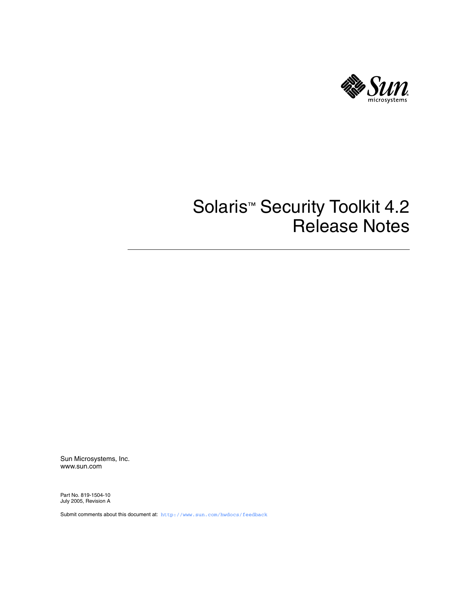

# Solaris<sup>™</sup> Security Toolkit 4.2 Release Notes

Sun Microsystems, Inc. www.sun.com

Part No. 819-1504-10 July 2005, Revision A

Submit comments about this document at: <http://www.sun.com/hwdocs/feedback>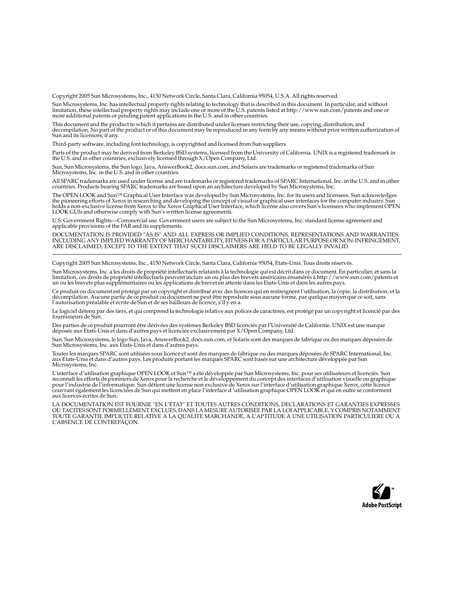Copyright 2005 Sun Microsystems, Inc., 4150 Network Circle, Santa Clara, California 95054, U.S.A. All rights reserved.

Sun Microsystems, Inc. has intellectual property rights relating to technology that is described in this document. In particular, and without limitation, these intellectual property rights may include one or more of the U.S. patents listed at http://www.sun.com/patents and one or more additional patents or pending patent applications in the U.S. and in other countries.

This document and the product to which it pertains are distributed under licenses restricting their use, copying, distribution, and decompilation. No part of the product or of this document may be reproduced in any form by any means without prior written authorization of Sun and its licensors, if any.

Third-party software, including font technology, is copyrighted and licensed from Sun suppliers.

Parts of the product may be derived from Berkeley BSD systems, licensed from the University of California. UNIX is a registered trademark in the U.S. and in other countries, exclusively licensed through X/Open Company, Ltd.

Sun, Sun Microsystems, the Sun logo, Java, AnswerBook2, docs.sun.com, and Solaris are trademarks or registered trademarks of Sun Microsystems, Inc. in the U.S. and in other countries.

All SPARC trademarks are used under license and are trademarks or registered trademarks of SPARC International, Inc. in the U.S. and in other countries. Products bearing SPARC trademarks are based upon an architecture developed by Sun Microsystems, Inc.

The OPEN LOOK and Sun™ Graphical User Interface was developed by Sun Microsystems, Inc. for its users and licensees. Sun acknowledges the pioneering efforts of Xerox in researching and developing the concept of visual or graphical user interfaces for the computer industry. Sun holds a non-exclusive license from Xerox to the Xerox Graphical User Interface, which license also covers Sun's licensees who implement OPEN LOOK GUIs and otherwise comply with Sun's written license agreements.

U.S. Government Rights—Commercial use. Government users are subject to the Sun Microsystems, Inc. standard license agreement and applicable provisions of the FAR and its supplements.

DOCUMENTATION IS PROVIDED "AS IS" AND ALL EXPRESS OR IMPLIED CONDITIONS, REPRESENTATIONS AND WARRANTIES, INCLUDING ANY IMPLIED WARRANTY OF MERCHANTABILITY, FITNESS FOR A PARTICULAR PURPOSE OR NON-INFRINGEMENT, ARE DISCLAIMED, EXCEPT TO THE EXTENT THAT SUCH DISCLAIMERS ARE HELD TO BE LEGALLY INVALID.

Copyright 2005 Sun Microsystems, Inc., 4150 Network Circle, Santa Clara, Californie 95054, Etats-Unis. Tous droits réservés.

Sun Microsystems, Inc. a les droits de propriété intellectuels relatants à la technologie qui est décrit dans ce document. En particulier, et sans la limitation, ces droits de propriété intellectuels peuvent inclure un ou plus des brevets américains énumérés à http://www.sun.com/patents et<br>un ou les brevets plus supplémentaires ou les applications de brevet en attente d

Ce produit ou document est protégé par un copyright et distribué avec des licences qui en restreignent l'utilisation, la copie, la distribution, et la décompilation. Aucune partie de ce produit ou document ne peut être reproduite sous aucune forme, par quelque moyen que ce soit, sans l'autorisation préalable et écrite de Sun et de ses bailleurs de licence, s'il  $\dot{y}$  en a.

Le logiciel détenu par des tiers, et qui comprend la technologie relative aux polices de caractères, est protégé par un copyright et licencié par des fournisseurs de Sun.

Des parties de ce produit pourront être dérivées des systèmes Berkeley BSD licenciés par l'Université de Californie. UNIX est une marque déposée aux Etats-Unis et dans d'autres pays et licenciée exclusivement par X/Open Company, Ltd.

Sun, Sun Microsystems, le logo Sun, Java, AnswerBook2, docs.sun.com, et Solaris sont des marques de fabrique ou des marques déposées de Sun Microsystems, Inc. aux Etats-Unis et dans d'autres pays.

Toutes les marques SPARC sont utilisées sous licence et sont des marques de fabrique ou des marques déposées de SPARC International, Inc. aux Etats-Unis et dans d'autres pays. Les produits portant les marques SPARC sont basés sur une architecture développée par Sun Microsystems, Inc.

L'interface d'utilisation graphique OPEN LOOK et Sun™ a été développée par Sun Microsystems, Inc. pour ses utilisateurs et licenciés. Sun reconnaît les efforts de pionniers de Xerox pour la recherche et le développement du concept des interfaces d'utilisation visuelle ou graphique pour l'industrie de l'informatique. Sun détient une license non exclusive de X couvrant également les licenciées de Sun qui mettent en place l'interface d 'utilisation graphique OPEN LOOK et qui en outre se conforment aux licences écrites de Sun.

LA DOCUMENTATION EST FOURNIE "EN L'ÉTAT" ET TOUTES AUTRES CONDITIONS, DECLARATIONS ET GARANTIES EXPRESSES OU TACITES SONT FORMELLEMENT EXCLUES, DANS LA MESURE AUTORISEE PAR LA LOI APPLICABLE, Y COMPRIS NOTAMMENT TOUTE GARANTIE IMPLICITE RELATIVE A LA QUALITE MARCHANDE, A L'APTITUDE A UNE UTILISATION PARTICULIERE OU A L'ABSENCE DE CONTREFAÇON.

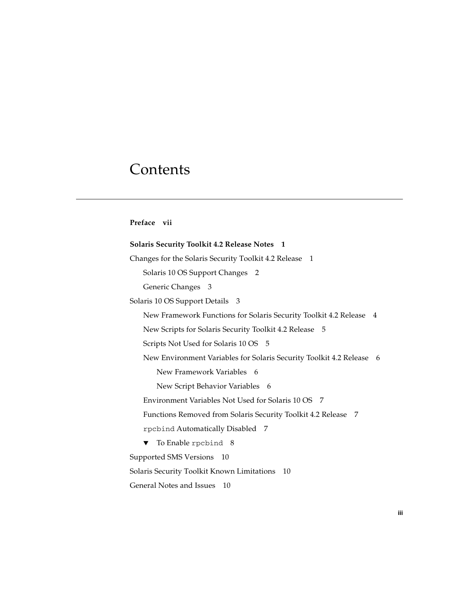### Contents

**[Preface](#page-6-0) vii**

### **[Solaris Security Toolkit 4.2 Release Notes](#page-10-0) 1** [Changes for the Solaris Security Toolkit 4.2 Release](#page-10-1) 1 [Solaris 10 OS Support Changes](#page-11-0) 2 [Generic Changes](#page-12-0) 3 [Solaris 10 OS Support Details](#page-12-1) 3 [New Framework Functions for Solaris Security Toolkit 4.2 Release](#page-13-0) 4 [New Scripts for Solaris Security Toolkit 4.2 Release](#page-14-0) 5 [Scripts Not Used for Solaris 10 OS](#page-14-1) 5 [New Environment Variables for Solaris Security Toolkit 4.2 Release](#page-15-0) 6 [New Framework Variables](#page-15-1) 6 [New Script Behavior Variables](#page-15-2) 6 [Environment Variables Not Used for Solaris 10 OS](#page-16-0) 7 [Functions Removed from Solaris Security Toolkit 4.2 Release](#page-16-1) 7 [rpcbind](#page-16-2) Automatically Disabled 7 ▼ [To Enable](#page-17-0) rpcbind 8 [Supported SMS Versions](#page-19-0) 10 [Solaris Security Toolkit Known Limitations](#page-19-1) 10 [General Notes and Issues](#page-19-2) 10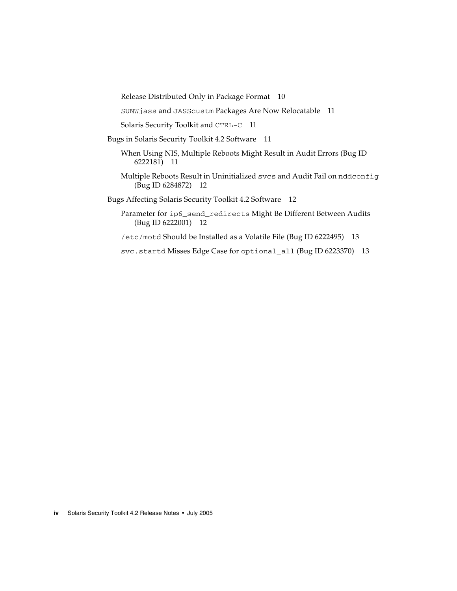[Release Distributed Only in Package Format](#page-19-3) 10

[SUNWjass](#page-20-0) and JASScustm Packages Are Now Relocatable 11

[Solaris Security Toolkit and](#page-20-1) CTRL-C 11

[Bugs in Solaris Security Toolkit 4.2 Software](#page-20-2) 11

[When Using NIS, Multiple Reboots Might Result in Audit Errors \(Bug ID](#page-20-3)  [6222181\)](#page-20-3) 11

[Multiple Reboots Result in Uninitialized](#page-21-0) svcs and Audit Fail on nddconfig (Bug ID 6284872) 12

[Bugs Affecting Solaris Security Toolkit 4.2 Software](#page-21-1) 12

[Parameter for](#page-21-2) ip6\_send\_redirects Might Be Different Between Audits (Bug ID 6222001) 12

[/etc/motd](#page-22-0) Should be Installed as a Volatile File (Bug ID 6222495) 13

[svc.startd](#page-22-1) Misses Edge Case for optional\_all (Bug ID 6223370) 13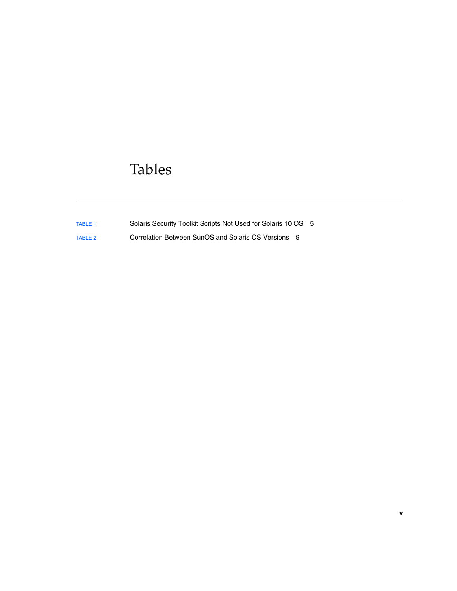## Tables

| TABLE 1 | Solaris Security Toolkit Scripts Not Used for Solaris 10 OS 5 |  |
|---------|---------------------------------------------------------------|--|
|         |                                                               |  |

[TABLE](#page-18-0) 2 Correlation Between SunOS and Solaris OS Versions 9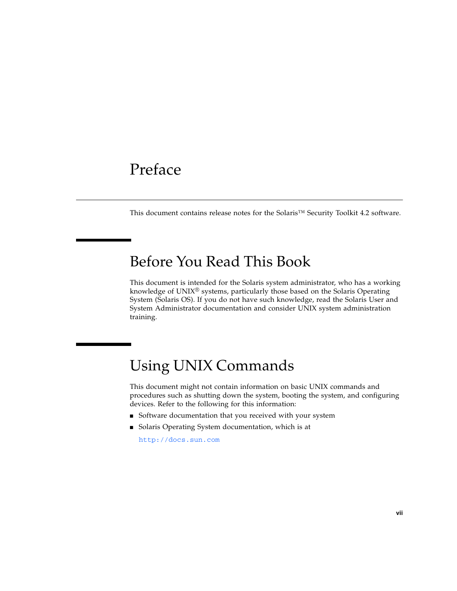### <span id="page-6-0"></span>Preface

This document contains release notes for the Solaris™ Security Toolkit 4.2 software.

### Before You Read This Book

This document is intended for the Solaris system administrator, who has a working knowledge of UNIX® systems, particularly those based on the Solaris Operating System (Solaris OS). If you do not have such knowledge, read the Solaris User and System Administrator documentation and consider UNIX system administration training.

# Using UNIX Commands

This document might not contain information on basic UNIX commands and procedures such as shutting down the system, booting the system, and configuring devices. Refer to the following for this information:

- Software documentation that you received with your system
- Solaris Operating System documentation, which is at

<http://docs.sun.com>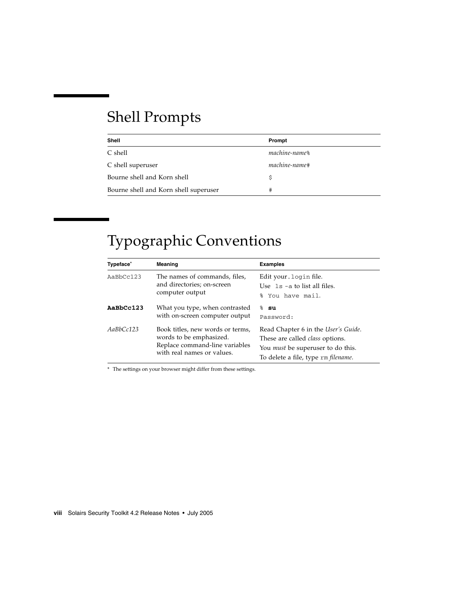# Shell Prompts

| Shell                                 | Prompt        |
|---------------------------------------|---------------|
| C shell                               | machine-name% |
| C shell superuser                     | machine-name# |
| Bourne shell and Korn shell           | Ŝ             |
| Bourne shell and Korn shell superuser | #             |

# Typographic Conventions

| Typeface* | <b>Meaning</b>                                                                                                              | <b>Examples</b>                                                                                                                                                  |
|-----------|-----------------------------------------------------------------------------------------------------------------------------|------------------------------------------------------------------------------------------------------------------------------------------------------------------|
| AaBbCc123 | The names of commands, files,<br>and directories; on-screen<br>computer output                                              | Edit your. login file.<br>Use $1s$ -a to list all files.<br>You have mail.<br>⋇                                                                                  |
| AaBbCc123 | What you type, when contrasted<br>with on-screen computer output                                                            | % su<br>Password:                                                                                                                                                |
| AaBbCc123 | Book titles, new words or terms,<br>words to be emphasized.<br>Replace command-line variables<br>with real names or values. | Read Chapter 6 in the User's Guide.<br>These are called <i>class</i> options.<br>You <i>must</i> be superuser to do this.<br>To delete a file, type rm filename. |

\* The settings on your browser might differ from these settings.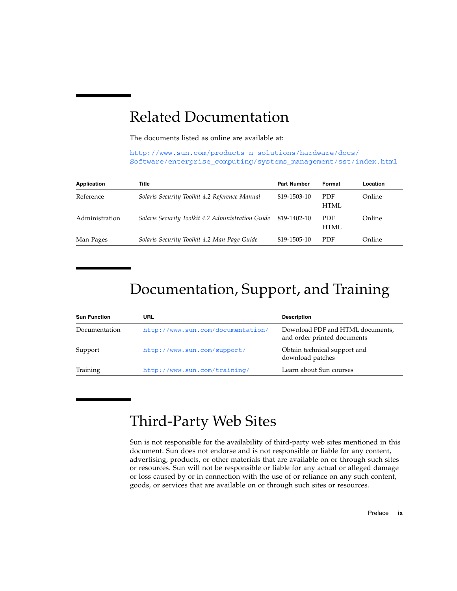## Related Documentation

The documents listed as online are available at:

[http://www.sun.com/products-n-solutions/hardware/docs/](http://www.sun.com/products-n-solutions/hardware/docs/Software/enterprise_computing/systems_management/sst/index.html) [Software/enterprise\\_computing/systems\\_management/sst/index.html](http://www.sun.com/products-n-solutions/hardware/docs/Software/enterprise_computing/systems_management/sst/index.html)

| Application    | Title                                             | <b>Part Number</b> | Format             | Location |
|----------------|---------------------------------------------------|--------------------|--------------------|----------|
| Reference      | Solaris Security Toolkit 4.2 Reference Manual     | 819-1503-10        | <b>PDF</b><br>HTML | Online   |
| Administration | Solaris Security Toolkit 4.2 Administration Guide | 819-1402-10        | <b>PDF</b><br>HTML | Online   |
| Man Pages      | Solaris Security Toolkit 4.2 Man Page Guide       | 819-1505-10        | <b>PDF</b>         | Online   |

# Documentation, Support, and Training

| <b>Sun Function</b> | URL                               | <b>Description</b>                                              |
|---------------------|-----------------------------------|-----------------------------------------------------------------|
| Documentation       | http://www.sun.com/documentation/ | Download PDF and HTML documents,<br>and order printed documents |
| Support             | http://www.sun.com/support/       | Obtain technical support and<br>download patches                |
| Training            | http://www.sun.com/training/      | Learn about Sun courses                                         |

# Third-Party Web Sites

Sun is not responsible for the availability of third-party web sites mentioned in this document. Sun does not endorse and is not responsible or liable for any content, advertising, products, or other materials that are available on or through such sites or resources. Sun will not be responsible or liable for any actual or alleged damage or loss caused by or in connection with the use of or reliance on any such content, goods, or services that are available on or through such sites or resources.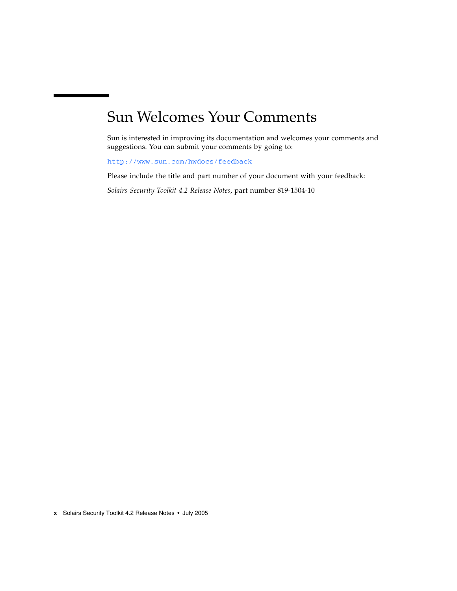# Sun Welcomes Your Comments

Sun is interested in improving its documentation and welcomes your comments and suggestions. You can submit your comments by going to:

<http://www.sun.com/hwdocs/feedback>

Please include the title and part number of your document with your feedback:

*Solairs Security Toolkit 4.2 Release Notes*, part number 819-1504-10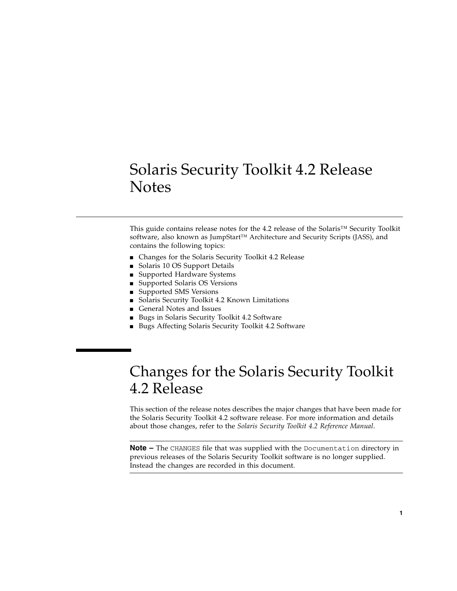# <span id="page-10-0"></span>Solaris Security Toolkit 4.2 Release **Notes**

This guide contains release notes for the 4.2 release of the Solaris™ Security Toolkit software, also known as JumpStart™ Architecture and Security Scripts (JASS), and contains the following topics:

- Changes for the Solaris Security Toolkit 4.2 Release
- Solaris 10 OS Support Details
- Supported Hardware Systems
- Supported Solaris OS Versions
- Supported SMS Versions
- Solaris Security Toolkit 4.2 Known Limitations
- General Notes and Issues
- Bugs in Solaris Security Toolkit 4.2 Software
- Bugs Affecting Solaris Security Toolkit 4.2 Software

## <span id="page-10-1"></span>Changes for the Solaris Security Toolkit 4.2 Release

This section of the release notes describes the major changes that have been made for the Solaris Security Toolkit 4.2 software release. For more information and details about those changes, refer to the *Solaris Security Toolkit 4.2 Reference Manual*.

**Note –** The CHANGES file that was supplied with the Documentation directory in previous releases of the Solaris Security Toolkit software is no longer supplied. Instead the changes are recorded in this document.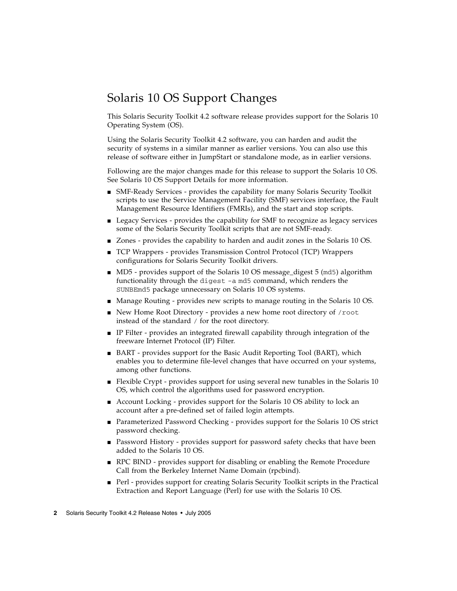### <span id="page-11-0"></span>Solaris 10 OS Support Changes

This Solaris Security Toolkit 4.2 software release provides support for the Solaris 10 Operating System (OS).

Using the Solaris Security Toolkit 4.2 software, you can harden and audit the security of systems in a similar manner as earlier versions. You can also use this release of software either in JumpStart or standalone mode, as in earlier versions.

Following are the major changes made for this release to support the Solaris 10 OS. See Solaris 10 OS Support Details for more information.

- SMF-Ready Services provides the capability for many Solaris Security Toolkit scripts to use the Service Management Facility (SMF) services interface, the Fault Management Resource Identifiers (FMRIs), and the start and stop scripts.
- Legacy Services provides the capability for SMF to recognize as legacy services some of the Solaris Security Toolkit scripts that are not SMF-ready.
- Zones provides the capability to harden and audit zones in the Solaris 10 OS.
- TCP Wrappers provides Transmission Control Protocol (TCP) Wrappers configurations for Solaris Security Toolkit drivers.
- $\blacksquare$  MD5 provides support of the Solaris 10 OS message digest 5 (md5) algorithm functionality through the digest -a md5 command, which renders the SUNBEmd5 package unnecessary on Solaris 10 OS systems.
- Manage Routing provides new scripts to manage routing in the Solaris 10 OS.
- New Home Root Directory provides a new home root directory of /root instead of the standard / for the root directory.
- IP Filter provides an integrated firewall capability through integration of the freeware Internet Protocol (IP) Filter.
- BART provides support for the Basic Audit Reporting Tool (BART), which enables you to determine file-level changes that have occurred on your systems, among other functions.
- Flexible Crypt provides support for using several new tunables in the Solaris 10 OS, which control the algorithms used for password encryption.
- Account Locking provides support for the Solaris 10 OS ability to lock an account after a pre-defined set of failed login attempts.
- Parameterized Password Checking provides support for the Solaris 10 OS strict password checking.
- Password History provides support for password safety checks that have been added to the Solaris 10 OS.
- RPC BIND provides support for disabling or enabling the Remote Procedure Call from the Berkeley Internet Name Domain (rpcbind).
- Perl provides support for creating Solaris Security Toolkit scripts in the Practical Extraction and Report Language (Perl) for use with the Solaris 10 OS.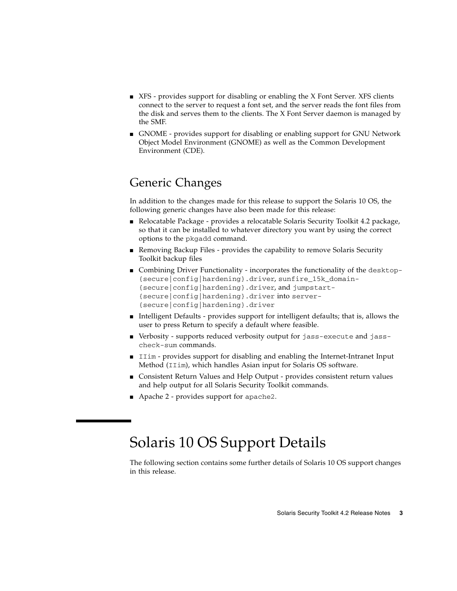- XFS provides support for disabling or enabling the X Font Server. XFS clients connect to the server to request a font set, and the server reads the font files from the disk and serves them to the clients. The X Font Server daemon is managed by the SMF.
- GNOME provides support for disabling or enabling support for GNU Network Object Model Environment (GNOME) as well as the Common Development Environment (CDE).

### <span id="page-12-0"></span>Generic Changes

In addition to the changes made for this release to support the Solaris 10 OS, the following generic changes have also been made for this release:

- Relocatable Package provides a relocatable Solaris Security Toolkit 4.2 package, so that it can be installed to whatever directory you want by using the correct options to the pkgadd command.
- Removing Backup Files provides the capability to remove Solaris Security Toolkit backup files
- Combining Driver Functionality incorporates the functionality of the desktop-{secure|config|hardening}.driver, sunfire\_15k\_domain- {secure|config|hardening}.driver, and jumpstart- {secure|config|hardening}.driver into server- {secure|config|hardening}.driver
- Intelligent Defaults provides support for intelligent defaults; that is, allows the user to press Return to specify a default where feasible.
- Verbosity supports reduced verbosity output for jass-execute and jasscheck-sum commands.
- IIim provides support for disabling and enabling the Internet-Intranet Input Method (IIim), which handles Asian input for Solaris OS software.
- Consistent Return Values and Help Output provides consistent return values and help output for all Solaris Security Toolkit commands.
- Apache 2 provides support for apache2.

# <span id="page-12-1"></span>Solaris 10 OS Support Details

The following section contains some further details of Solaris 10 OS support changes in this release.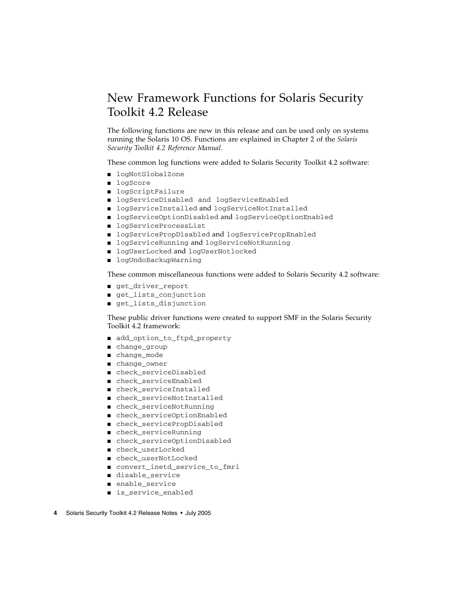### <span id="page-13-0"></span>New Framework Functions for Solaris Security Toolkit 4.2 Release

The following functions are new in this release and can be used only on systems running the Solaris 10 OS. Functions are explained in Chapter 2 of the *Solaris Security Toolkit 4.2 Reference Manual*.

These common log functions were added to Solaris Security Toolkit 4.2 software:

- logNotGlobalZone
- logScore
- logScriptFailure
- logServiceDisabled and logServiceEnabled
- logServiceInstalled and logServiceNotInstalled
- logServiceOptionDisabled and logServiceOptionEnabled
- logServiceProcessList
- logServicePropDisabled and logServicePropEnabled
- logServiceRunning and logServiceNotRunning
- logUserLocked and logUserNotlocked
- logUndoBackupWarning

These common miscellaneous functions were added to Solaris Security 4.2 software:

- get\_driver\_report
- get\_lists\_conjunction
- get\_lists\_disjunction

These public driver functions were created to support SMF in the Solaris Security Toolkit 4.2 framework:

- add\_option\_to\_ftpd\_property
- change\_group
- change mode
- change\_owner
- check serviceDisabled
- check serviceEnabled
- check serviceInstalled
- check serviceNotInstalled
- check\_serviceNotRunning
- check serviceOptionEnabled
- check\_servicePropDisabled
- check serviceRunning
- check\_serviceOptionDisabled
- check\_userLocked
- check userNotLocked
- convert\_inetd\_service\_to\_fmri
- disable\_service
- enable service
- is\_service\_enabled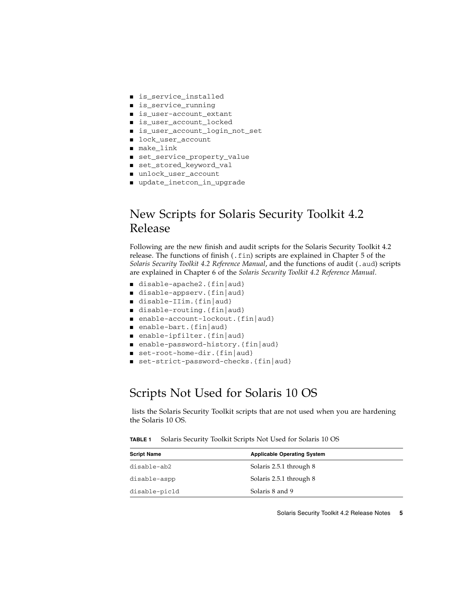- is\_service\_installed
- is\_service\_running
- is\_user-account\_extant
- is\_user\_account\_locked
- is\_user\_account\_login\_not\_set
- lock\_user\_account
- make link
- set\_service\_property\_value
- set\_stored\_keyword\_val
- unlock user account
- update\_inetcon\_in\_upgrade

#### <span id="page-14-0"></span>New Scripts for Solaris Security Toolkit 4.2 Release

Following are the new finish and audit scripts for the Solaris Security Toolkit 4.2 release. The functions of finish (.fin) scripts are explained in Chapter 5 of the *Solaris Security Toolkit 4.2 Reference Manual*, and the functions of audit (.aud) scripts are explained in Chapter 6 of the *Solaris Security Toolkit 4.2 Reference Manual*.

- disable-apache2.{fin|aud}
- disable-appserv.{fin|aud}
- disable-IIim.{fin|aud}
- disable-routing.{fin|aud}
- enable-account-lockout.{fin|aud}
- enable-bart.{fin|aud}
- enable-ipfilter.{fin|aud}
- enable-password-history.{fin|aud}
- set-root-home-dir.{fin|aud}
- set-strict-password-checks. {fin|aud}

### <span id="page-14-1"></span>Scripts Not Used for Solaris 10 OS

 [l](#page-14-2)ists the Solaris Security Toolkit scripts that are not used when you are hardening the Solaris 10 OS.

| <b>Script Name</b> | <b>Applicable Operating System</b> |
|--------------------|------------------------------------|
| disable-ab2        | Solaris 2.5.1 through 8            |
| disable-aspp       | Solaris 2.5.1 through 8            |
| disable-picld      | Solaris 8 and 9                    |

<span id="page-14-2"></span>**TABLE 1** Solaris Security Toolkit Scripts Not Used for Solaris 10 OS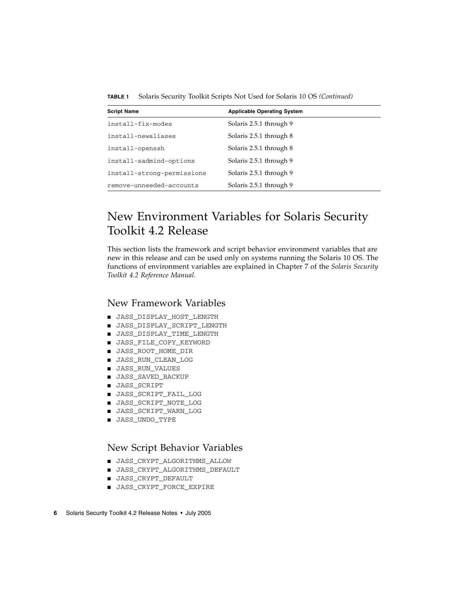| <b>Script Name</b>         | <b>Applicable Operating System</b> |
|----------------------------|------------------------------------|
| install-fix-modes          | Solaris 2.5.1 through 9            |
| install-newaliases         | Solaris 2.5.1 through 8            |
| install-openssh            | Solaris 2.5.1 through 8            |
| install-sadmind-options    | Solaris 2.5.1 through 9            |
| install-strong-permissions | Solaris 2.5.1 through 9            |
| remove-unneeded-accounts   | Solaris 2.5.1 through 9            |

**TABLE 1** Solaris Security Toolkit Scripts Not Used for Solaris 10 OS *(Continued)*

#### <span id="page-15-0"></span>New Environment Variables for Solaris Security Toolkit 4.2 Release

This section lists the framework and script behavior environment variables that are new in this release and can be used only on systems running the Solaris 10 OS. The functions of environment variables are explained in Chapter 7 of the *Solaris Security Toolkit 4.2 Reference Manual*.

#### <span id="page-15-1"></span>New Framework Variables

- JASS\_DISPLAY\_HOST\_LENGTH
- JASS\_DISPLAY\_SCRIPT\_LENGTH
- JASS\_DISPLAY\_TIME\_LENGTH
- JASS FILE COPY\_KEYWORD
- JASS\_ROOT\_HOME\_DIR
- JASS RUN CLEAN LOG
- JASS\_RUN\_VALUES
- JASS\_SAVED\_BACKUP
- JASS SCRIPT
- JASS\_SCRIPT\_FAIL\_LOG
- JASS\_SCRIPT\_NOTE\_LOG
- JASS SCRIPT\_WARN\_LOG
- JASS\_UNDO\_TYPE

#### <span id="page-15-2"></span>New Script Behavior Variables

- JASS\_CRYPT\_ALGORITHMS\_ALLOW
- JASS\_CRYPT\_ALGORITHMS\_DEFAULT
- JASS CRYPT DEFAULT
- JASS\_CRYPT\_FORCE\_EXPIRE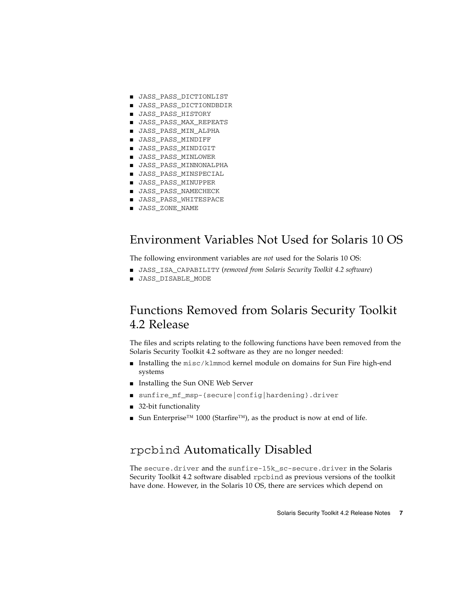- JASS\_PASS\_DICTIONLIST
- JASS\_PASS\_DICTIONDBDIR
- JASS\_PASS\_HISTORY
- JASS\_PASS\_MAX\_REPEATS
- JASS\_PASS\_MIN\_ALPHA
- JASS\_PASS\_MINDIFF
- JASS\_PASS\_MINDIGIT
- JASS PASS MINLOWER
- JASS\_PASS\_MINNONALPHA
- JASS PASS MINSPECIAL
- JASS PASS MINUPPER
- JASS\_PASS\_NAMECHECK
- JASS\_PASS\_WHITESPACE
- JASS\_ZONE\_NAME

#### <span id="page-16-0"></span>Environment Variables Not Used for Solaris 10 OS

The following environment variables are *not* used for the Solaris 10 OS:

- JASS\_ISA\_CAPABILITY (*removed from Solaris Security Toolkit 4.2 software*)
- JASS DISABLE MODE

### <span id="page-16-1"></span>Functions Removed from Solaris Security Toolkit 4.2 Release

The files and scripts relating to the following functions have been removed from the Solaris Security Toolkit 4.2 software as they are no longer needed:

- Installing the misc/klmmod kernel module on domains for Sun Fire high-end systems
- Installing the Sun ONE Web Server
- sunfire\_mf\_msp-{secure|config|hardening}.driver
- 32-bit functionality
- Sun Enterprise<sup>™</sup> 1000 (Starfire<sup>™</sup>), as the product is now at end of life.

#### <span id="page-16-2"></span>rpcbind Automatically Disabled

The secure.driver and the sunfire-15k\_sc-secure.driver in the Solaris Security Toolkit 4.2 software disabled rpcbind as previous versions of the toolkit have done. However, in the Solaris 10 OS, there are services which depend on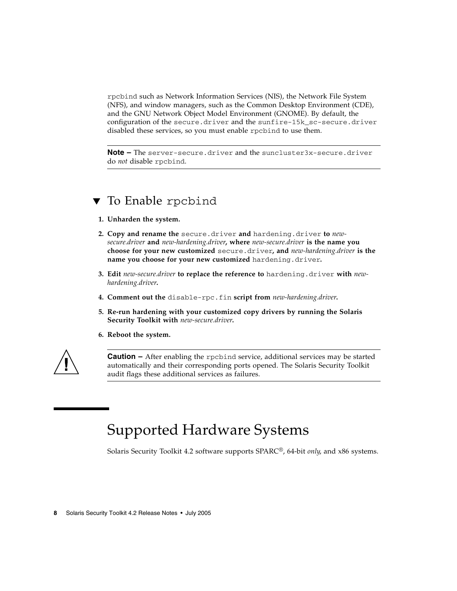rpcbind such as Network Information Services (NIS), the Network File System (NFS), and window managers, such as the Common Desktop Environment (CDE), and the GNU Network Object Model Environment (GNOME). By default, the configuration of the secure.driver and the sunfire-15k\_sc-secure.driver disabled these services, so you must enable rpcbind to use them.

**Note –** The server-secure.driver and the suncluster3x-secure.driver do *not* disable rpcbind.

#### <span id="page-17-0"></span>▼ To Enable rpcbind

- **1. Unharden the system.**
- **2. Copy and rename the** secure.driver **and** hardening.driver **to** *newsecure.driver* **and** *new-hardening.driver***, where** *new-secure.driver* **is the name you choose for your new customized** secure.driver**, and** *new-hardening.driver* **is the name you choose for your new customized** hardening.driver**.**
- **3. Edit** *new-secure.driver* **to replace the reference to** hardening.driver **with** *newhardening.driver***.**
- **4. Comment out the** disable-rpc.fin **script from** *new-hardening.driver***.**
- **5. Re-run hardening with your customized copy drivers by running the Solaris Security Toolkit with** *new-secure.driver***.**
- **6. Reboot the system.**



**Caution –** After enabling the rpcbind service, additional services may be started automatically and their corresponding ports opened. The Solaris Security Toolkit audit flags these additional services as failures.

# Supported Hardware Systems

Solaris Security Toolkit 4.2 software supports SPARC®, 64-bit *only*, and x86 systems.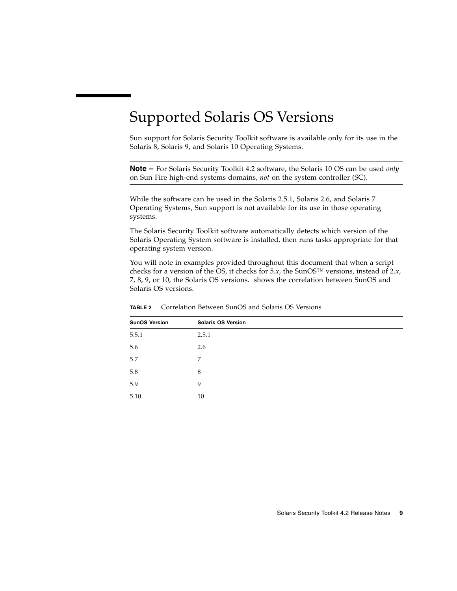## Supported Solaris OS Versions

Sun support for Solaris Security Toolkit software is available only for its use in the Solaris 8, Solaris 9, and Solaris 10 Operating Systems.

**Note –** For Solaris Security Toolkit 4.2 software, the Solaris 10 OS can be used *only* on Sun Fire high-end systems domains, *not* on the system controller (SC).

While the software can be used in the Solaris 2.5.1, Solaris 2.6, and Solaris 7 Operating Systems, Sun support is not available for its use in those operating systems.

The Solaris Security Toolkit software automatically detects which version of the Solaris Operating System software is installed, then runs tasks appropriate for that operating system version.

You will note in examples provided throughout this document that when a script checks for a version of the OS, it checks for 5.*x*, the SunOS™ versions, instead of 2.*x*, 7, 8, 9, or 10, the Solaris OS versions. shows the correlation between SunOS and Solaris OS versions.

<span id="page-18-0"></span>

| <b>SunOS Version</b> | <b>Solaris OS Version</b> |
|----------------------|---------------------------|
| 5.5.1                | 2.5.1                     |
| 5.6                  | 2.6                       |
| 5.7                  | 7                         |
| 5.8                  | 8                         |
| 5.9                  | 9                         |
| 5.10                 | 10                        |

**TABLE 2** Correlation Between SunOS and Solaris OS Versions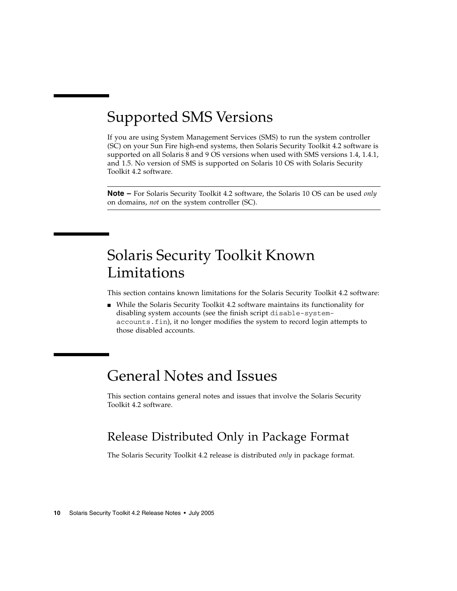# <span id="page-19-0"></span>Supported SMS Versions

If you are using System Management Services (SMS) to run the system controller (SC) on your Sun Fire high-end systems, then Solaris Security Toolkit 4.2 software is supported on all Solaris 8 and 9 OS versions when used with SMS versions 1.4, 1.4.1, and 1.5. No version of SMS is supported on Solaris 10 OS with Solaris Security Toolkit 4.2 software.

**Note –** For Solaris Security Toolkit 4.2 software, the Solaris 10 OS can be used *only* on domains, *not* on the system controller (SC).

# <span id="page-19-1"></span>Solaris Security Toolkit Known Limitations

This section contains known limitations for the Solaris Security Toolkit 4.2 software:

■ While the Solaris Security Toolkit 4.2 software maintains its functionality for disabling system accounts (see the finish script disable-systemaccounts.fin), it no longer modifies the system to record login attempts to those disabled accounts.

### <span id="page-19-2"></span>General Notes and Issues

This section contains general notes and issues that involve the Solaris Security Toolkit 4.2 software.

### <span id="page-19-3"></span>Release Distributed Only in Package Format

The Solaris Security Toolkit 4.2 release is distributed *only* in package format.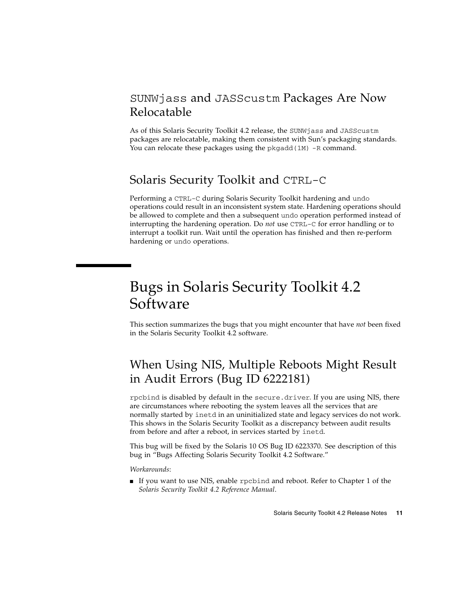### <span id="page-20-0"></span>SUNWjass and JASScustm Packages Are Now Relocatable

As of this Solaris Security Toolkit 4.2 release, the SUNWjass and JASScustm packages are relocatable, making them consistent with Sun's packaging standards. You can relocate these packages using the  $pkgadd(1M)$  -R command.

### <span id="page-20-1"></span>Solaris Security Toolkit and CTRL-C

Performing a CTRL-C during Solaris Security Toolkit hardening and undo operations could result in an inconsistent system state. Hardening operations should be allowed to complete and then a subsequent undo operation performed instead of interrupting the hardening operation. Do *not* use CTRL-C for error handling or to interrupt a toolkit run. Wait until the operation has finished and then re-perform hardening or undo operations.

# <span id="page-20-2"></span>Bugs in Solaris Security Toolkit 4.2 Software

This section summarizes the bugs that you might encounter that have *not* been fixed in the Solaris Security Toolkit 4.2 software.

### <span id="page-20-3"></span>When Using NIS, Multiple Reboots Might Result in Audit Errors (Bug ID 6222181)

rpcbind is disabled by default in the secure.driver. If you are using NIS, there are circumstances where rebooting the system leaves all the services that are normally started by inetd in an uninitialized state and legacy services do not work. This shows in the Solaris Security Toolkit as a discrepancy between audit results from before and after a reboot, in services started by inetd.

This bug will be fixed by the Solaris 10 OS Bug ID 6223370. See description of this bug in "Bugs Affecting Solaris Security Toolkit 4.2 Software."

#### *Workarounds*:

■ If you want to use NIS, enable rpcbind and reboot. Refer to Chapter 1 of the *Solaris Security Toolkit 4.2 Reference Manual*.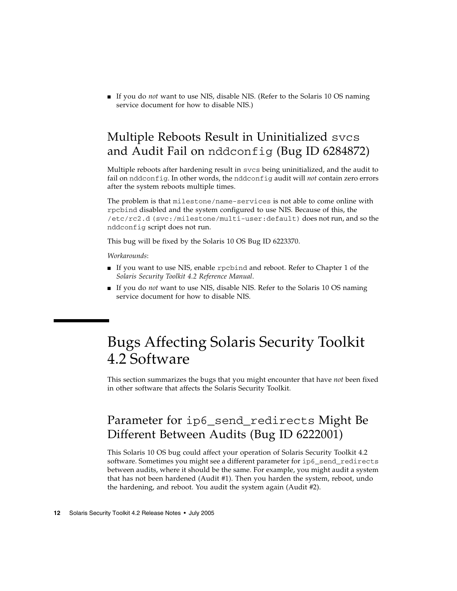■ If you do *not* want to use NIS, disable NIS. (Refer to the Solaris 10 OS naming service document for how to disable NIS.)

### <span id="page-21-0"></span>Multiple Reboots Result in Uninitialized svcs and Audit Fail on nddconfig (Bug ID 6284872)

Multiple reboots after hardening result in svcs being uninitialized, and the audit to fail on nddconfig. In other words, the nddconfig audit will *not* contain zero errors after the system reboots multiple times.

The problem is that milestone/name-services is not able to come online with rpcbind disabled and the system configured to use NIS. Because of this, the /etc/rc2.d (svc:/milestone/multi-user:default) does not run, and so the nddconfig script does not run.

This bug will be fixed by the Solaris 10 OS Bug ID 6223370.

*Workarounds*:

- If you want to use NIS, enable rpcbind and reboot. Refer to Chapter 1 of the *Solaris Security Toolkit 4.2 Reference Manual*.
- If you do *not* want to use NIS, disable NIS. Refer to the Solaris 10 OS naming service document for how to disable NIS.

# <span id="page-21-1"></span>Bugs Affecting Solaris Security Toolkit 4.2 Software

This section summarizes the bugs that you might encounter that have *not* been fixed in other software that affects the Solaris Security Toolkit.

### <span id="page-21-2"></span>Parameter for ip6\_send\_redirects Might Be Different Between Audits (Bug ID 6222001)

This Solaris 10 OS bug could affect your operation of Solaris Security Toolkit 4.2 software. Sometimes you might see a different parameter for ip6\_send\_redirects between audits, where it should be the same. For example, you might audit a system that has not been hardened (Audit #1). Then you harden the system, reboot, undo the hardening, and reboot. You audit the system again (Audit #2).